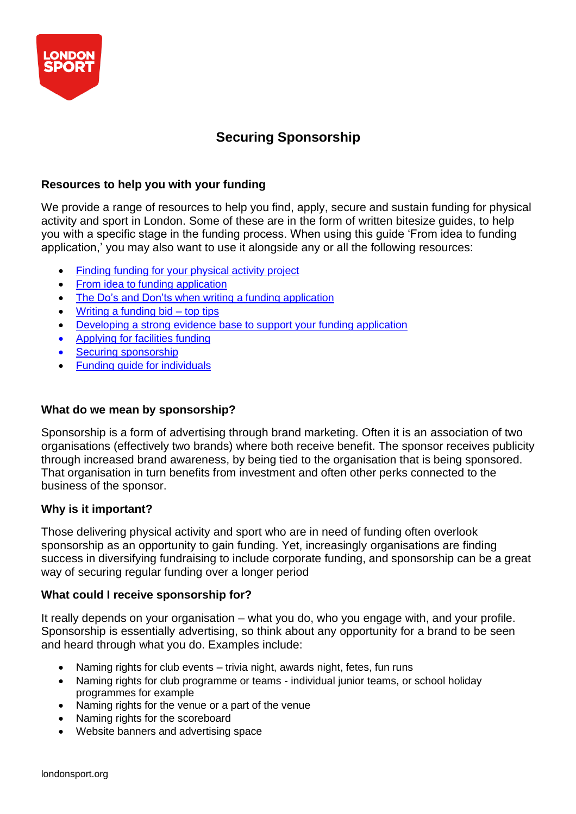

# **Securing Sponsorship**

# **Resources to help you with your funding**

We provide a range of resources to help you find, apply, secure and sustain funding for physical activity and sport in London. Some of these are in the form of written bitesize guides, to help you with a specific stage in the funding process. When using this guide 'From idea to funding application,' you may also want to use it alongside any or all the following resources:

- Finding funding for your [physical](https://londonsport.org/search-for-funding/) activity project
- From idea to funding [application](https://londonsport.org/funding-support/)
- The Do's and Don'ts when writing a funding [application](https://londonsport.org/funding-support/)
- Writing a [funding](https://londonsport.org/funding-bids/) bid top tips
- [Developing a](https://londonsport.org/funding-support/) strong evidence base to support your funding application
- [Applying](https://londonsport.org/funding-support/) for facilities funding
- Securing [sponsorship](https://londonsport.org/funding-support/)
- Funding guide for [individuals](https://londonsport.org/funding-support/)

# **What do we mean by sponsorship?**

Sponsorship is a form of advertising through brand marketing. Often it is an association of two organisations (effectively two brands) where both receive benefit. The sponsor receives publicity through increased brand awareness, by being tied to the organisation that is being sponsored. That organisation in turn benefits from investment and often other perks connected to the business of the sponsor.

# **Why is it important?**

Those delivering physical activity and sport who are in need of funding often overlook sponsorship as an opportunity to gain funding. Yet, increasingly organisations are finding success in diversifying fundraising to include corporate funding, and sponsorship can be a great way of securing regular funding over a longer period

## **What could I receive sponsorship for?**

It really depends on your organisation – what you do, who you engage with, and your profile. Sponsorship is essentially advertising, so think about any opportunity for a brand to be seen and heard through what you do. Examples include:

- Naming rights for club events trivia night, awards night, fetes, fun runs
- Naming rights for club programme or teams individual junior teams, or school holiday programmes for example
- Naming rights for the venue or a part of the venue
- Naming rights for the scoreboard
- Website banners and advertising space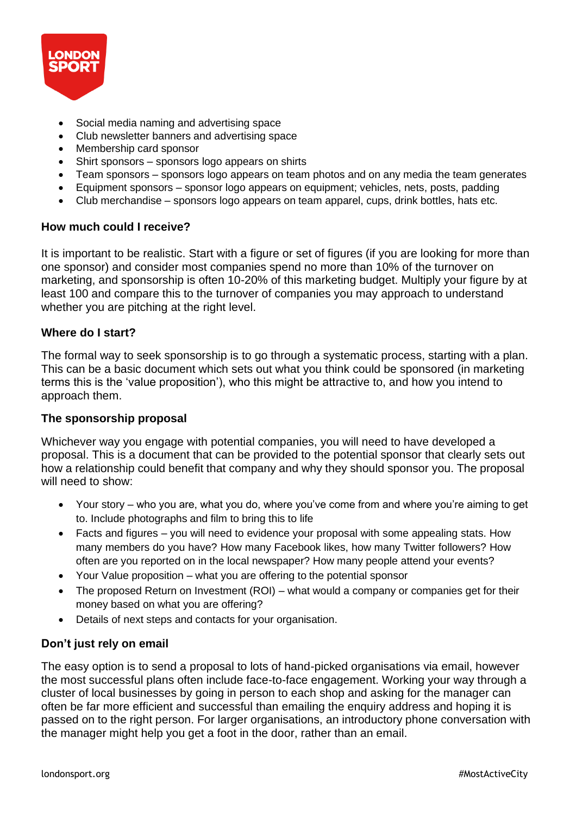

- Social media naming and advertising space
- Club newsletter banners and advertising space
- Membership card sponsor
- Shirt sponsors sponsors logo appears on shirts
- Team sponsors sponsors logo appears on team photos and on any media the team generates
- Equipment sponsors sponsor logo appears on equipment; vehicles, nets, posts, padding
- Club merchandise sponsors logo appears on team apparel, cups, drink bottles, hats etc.

#### **How much could I receive?**

It is important to be realistic. Start with a figure or set of figures (if you are looking for more than one sponsor) and consider most companies spend no more than 10% of the turnover on marketing, and sponsorship is often 10-20% of this marketing budget. Multiply your figure by at least 100 and compare this to the turnover of companies you may approach to understand whether you are pitching at the right level.

#### **Where do I start?**

The formal way to seek sponsorship is to go through a systematic process, starting with a plan. This can be a basic document which sets out what you think could be sponsored (in marketing terms this is the 'value proposition'), who this might be attractive to, and how you intend to approach them.

## **The sponsorship proposal**

Whichever way you engage with potential companies, you will need to have developed a proposal. This is a document that can be provided to the potential sponsor that clearly sets out how a relationship could benefit that company and why they should sponsor you. The proposal will need to show:

- Your story who you are, what you do, where you've come from and where you're aiming to get to. Include photographs and film to bring this to life
- Facts and figures you will need to evidence your proposal with some appealing stats. How many members do you have? How many Facebook likes, how many Twitter followers? How often are you reported on in the local newspaper? How many people attend your events?
- Your Value proposition what you are offering to the potential sponsor
- The proposed Return on Investment (ROI) what would a company or companies get for their money based on what you are offering?
- Details of next steps and contacts for your organisation.

## **Don't just rely on email**

The easy option is to send a proposal to lots of hand-picked organisations via email, however the most successful plans often include face-to-face engagement. Working your way through a cluster of local businesses by going in person to each shop and asking for the manager can often be far more efficient and successful than emailing the enquiry address and hoping it is passed on to the right person. For larger organisations, an introductory phone conversation with the manager might help you get a foot in the door, rather than an email.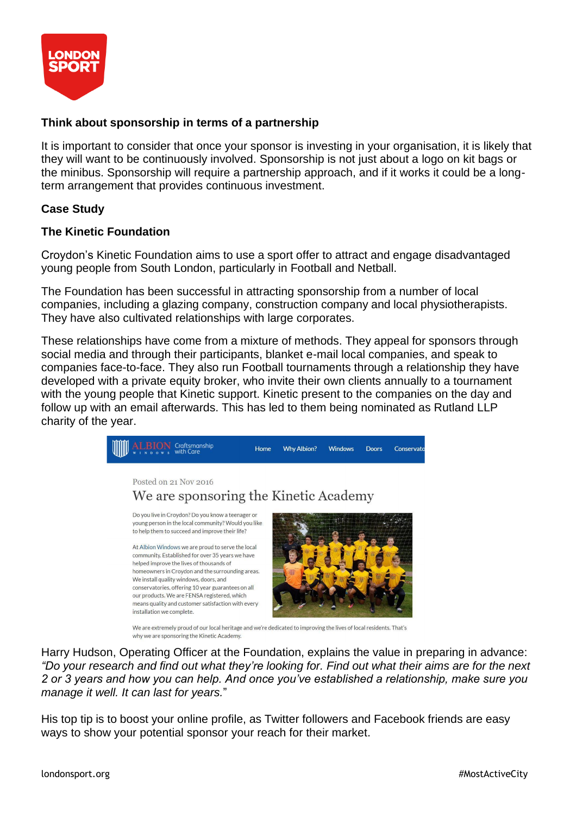

# **Think about sponsorship in terms of a partnership**

It is important to consider that once your sponsor is investing in your organisation, it is likely that they will want to be continuously involved. Sponsorship is not just about a logo on kit bags or the minibus. Sponsorship will require a partnership approach, and if it works it could be a longterm arrangement that provides continuous investment.

## **Case Study**

## **The Kinetic Foundation**

Croydon's Kinetic Foundation aims to use a sport offer to attract and engage disadvantaged young people from South London, particularly in Football and Netball.

The Foundation has been successful in attracting sponsorship from a number of local companies, including a glazing company, construction company and local physiotherapists. They have also cultivated relationships with large corporates.

These relationships have come from a mixture of methods. They appeal for sponsors through social media and through their participants, blanket e-mail local companies, and speak to companies face-to-face. They also run Football tournaments through a relationship they have developed with a private equity broker, who invite their own clients annually to a tournament with the young people that Kinetic support. Kinetic present to the companies on the day and follow up with an email afterwards. This has led to them being nominated as Rutland LLP charity of the year.



Harry Hudson, Operating Officer at the Foundation, explains the value in preparing in advance: *"Do your research and find out what they're looking for. Find out what their aims are for the next 2 or 3 years and how you can help. And once you've established a relationship, make sure you manage it well. It can last for years.*"

His top tip is to boost your online profile, as Twitter followers and Facebook friends are easy ways to show your potential sponsor your reach for their market.